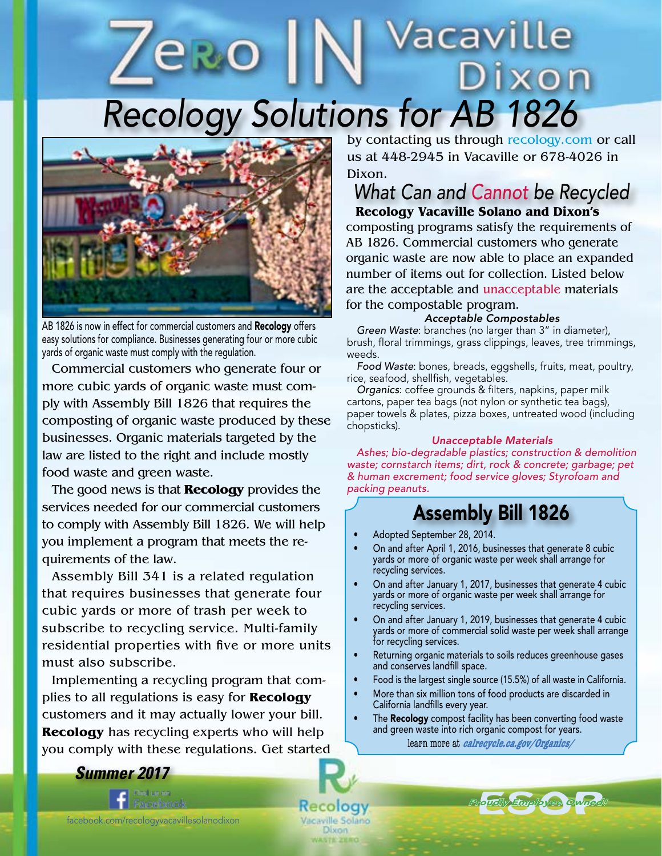# *Recology Solutions for AB 1826* ixon



AB 1826 is now in effect for commercial customers and Recology offers easy solutions for compliance. Businesses generating four or more cubic yards of organic waste must comply with the regulation.

Commercial customers who generate four or more cubic yards of organic waste must comply with Assembly Bill 1826 that requires the composting of organic waste produced by these businesses. Organic materials targeted by the law are listed to the right and include mostly food waste and green waste.

The good news is that **Recology** provides the services needed for our commercial customers to comply with Assembly Bill 1826. We will help you implement a program that meets the requirements of the law.

Assembly Bill 341 is a related regulation that requires businesses that generate four cubic yards or more of trash per week to subscribe to recycling service. Multi-family residential properties with five or more units must also subscribe.

Implementing a recycling program that complies to all regulations is easy for **Recology** customers and it may actually lower your bill. **Recology** has recycling experts who will help you comply with these regulations. Get started by contacting us through recology.com or call us at 448-2945 in Vacaville or 678-4026 in Dixon.

Vacaville

## **Recology Vacaville Solano and Dixon's** *What Can and Cannot be Recycled*

composting programs satisfy the requirements of AB 1826. Commercial customers who generate organic waste are now able to place an expanded number of items out for collection. Listed below are the acceptable and unacceptable materials for the compostable program.

### *Acceptable Compostables*

*Green Waste*: branches (no larger than 3" in diameter), brush, floral trimmings, grass clippings, leaves, tree trimmings, weeds.

*Food Waste*: bones, breads, eggshells, fruits, meat, poultry, rice, seafood, shellfish, vegetables.

*Organics*: coffee grounds & filters, napkins, paper milk cartons, paper tea bags (not nylon or synthetic tea bags), paper towels & plates, pizza boxes, untreated wood (including chopsticks).

### *Unacceptable Materials*

*Ashes; bio-degradable plastics; construction & demolition waste; cornstarch items; dirt, rock & concrete; garbage; pet & human excrement; food service gloves; Styrofoam and packing peanuts.*

## Assembly Bill 1826

• Adopted September 28, 2014.

Recology Vacaville Solano Dixon

- On and after April 1, 2016, businesses that generate 8 cubic yards or more of organic waste per week shall arrange for recycling services.
- On and after January 1, 2017, businesses that generate 4 cubic yards or more of organic waste per week shall arrange for recycling services.
- On and after January 1, 2019, businesses that generate 4 cubic yards or more of commercial solid waste per week shall arrange for recycling services.
- Returning organic materials to soils reduces greenhouse gases and conserves landfill space.
- Food is the largest single source (15.5%) of all waste in California.
- More than six million tons of food products are discarded in California landfills every year.
- The **Recology** compost facility has been converting food waste and green waste into rich organic compost for years.

learn more at **calrecycle.ca.gov/Organics/**

*Proudly Employee Owned!* pudly Employee Owned

*Summer 2017*

*recologyvallejo.com*

facebook.com/recologyvacavillesolanodixon